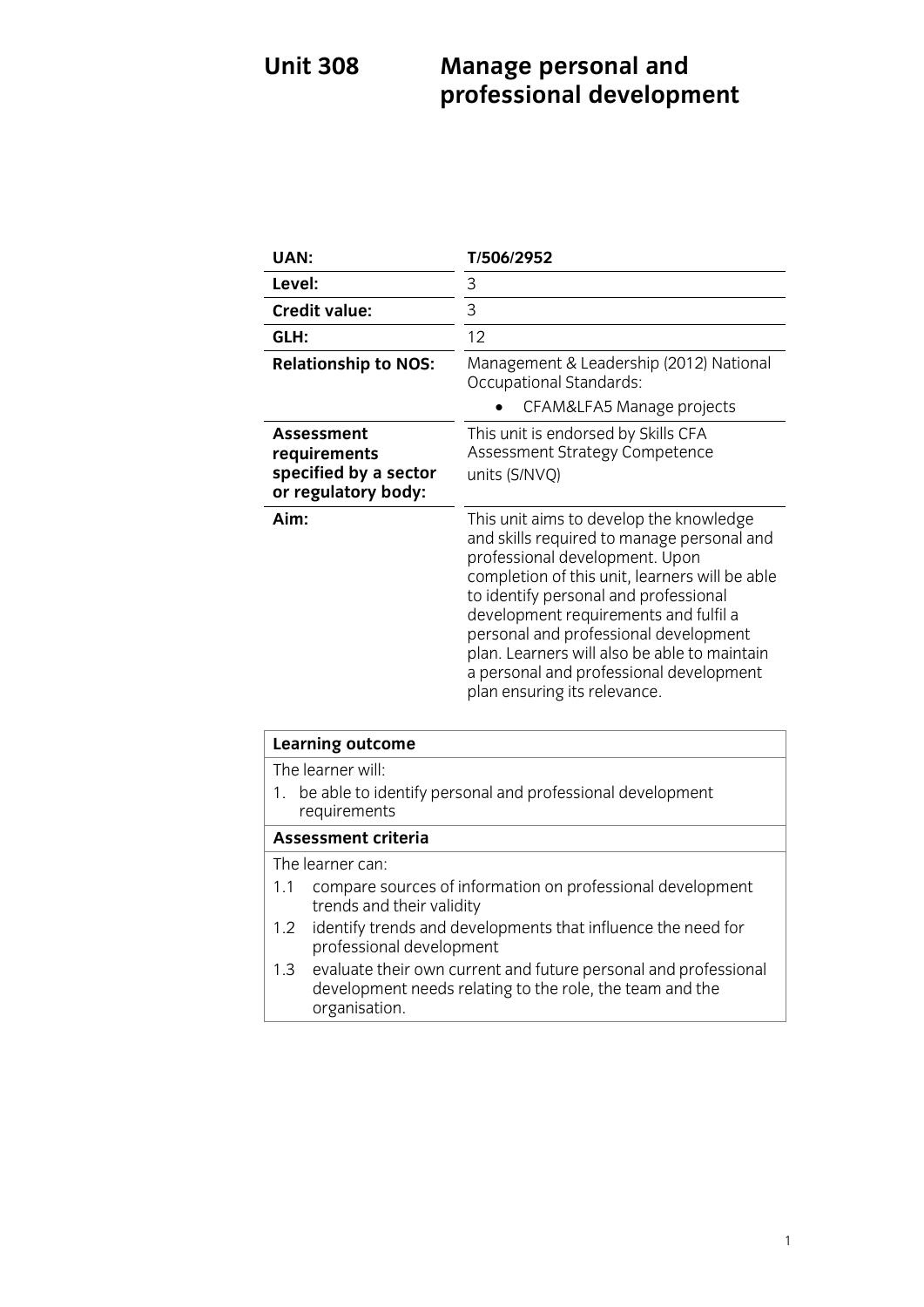# **Unit 308 Management Property professional development**

| UAN:                                                                              | T/506/2952                                                                                                                                                                                                                                                                                                                                                                                                                      |
|-----------------------------------------------------------------------------------|---------------------------------------------------------------------------------------------------------------------------------------------------------------------------------------------------------------------------------------------------------------------------------------------------------------------------------------------------------------------------------------------------------------------------------|
| Level:                                                                            | 3                                                                                                                                                                                                                                                                                                                                                                                                                               |
| <b>Credit value:</b>                                                              | 3                                                                                                                                                                                                                                                                                                                                                                                                                               |
| GLH:                                                                              | 12                                                                                                                                                                                                                                                                                                                                                                                                                              |
| <b>Relationship to NOS:</b>                                                       | Management & Leadership (2012) National<br>Occupational Standards:                                                                                                                                                                                                                                                                                                                                                              |
|                                                                                   | CFAM&LFA5 Manage projects                                                                                                                                                                                                                                                                                                                                                                                                       |
| <b>Assessment</b><br>requirements<br>specified by a sector<br>or regulatory body: | This unit is endorsed by Skills CFA<br>Assessment Strategy Competence<br>units (S/NVQ)                                                                                                                                                                                                                                                                                                                                          |
| Aim:                                                                              | This unit aims to develop the knowledge<br>and skills required to manage personal and<br>professional development. Upon<br>completion of this unit, learners will be able<br>to identify personal and professional<br>development requirements and fulfil a<br>personal and professional development<br>plan. Learners will also be able to maintain<br>a personal and professional development<br>plan ensuring its relevance. |

| <b>Learning outcome</b>                                                                                                                          |  |
|--------------------------------------------------------------------------------------------------------------------------------------------------|--|
| The learner will:                                                                                                                                |  |
| be able to identify personal and professional development<br>1.<br>requirements                                                                  |  |
| Assessment criteria                                                                                                                              |  |
| The learner can:                                                                                                                                 |  |
| compare sources of information on professional development<br>1.1<br>trends and their validity                                                   |  |
| 1.2 identify trends and developments that influence the need for<br>professional development                                                     |  |
| 1.3 evaluate their own current and future personal and professional<br>development needs relating to the role, the team and the<br>organisation. |  |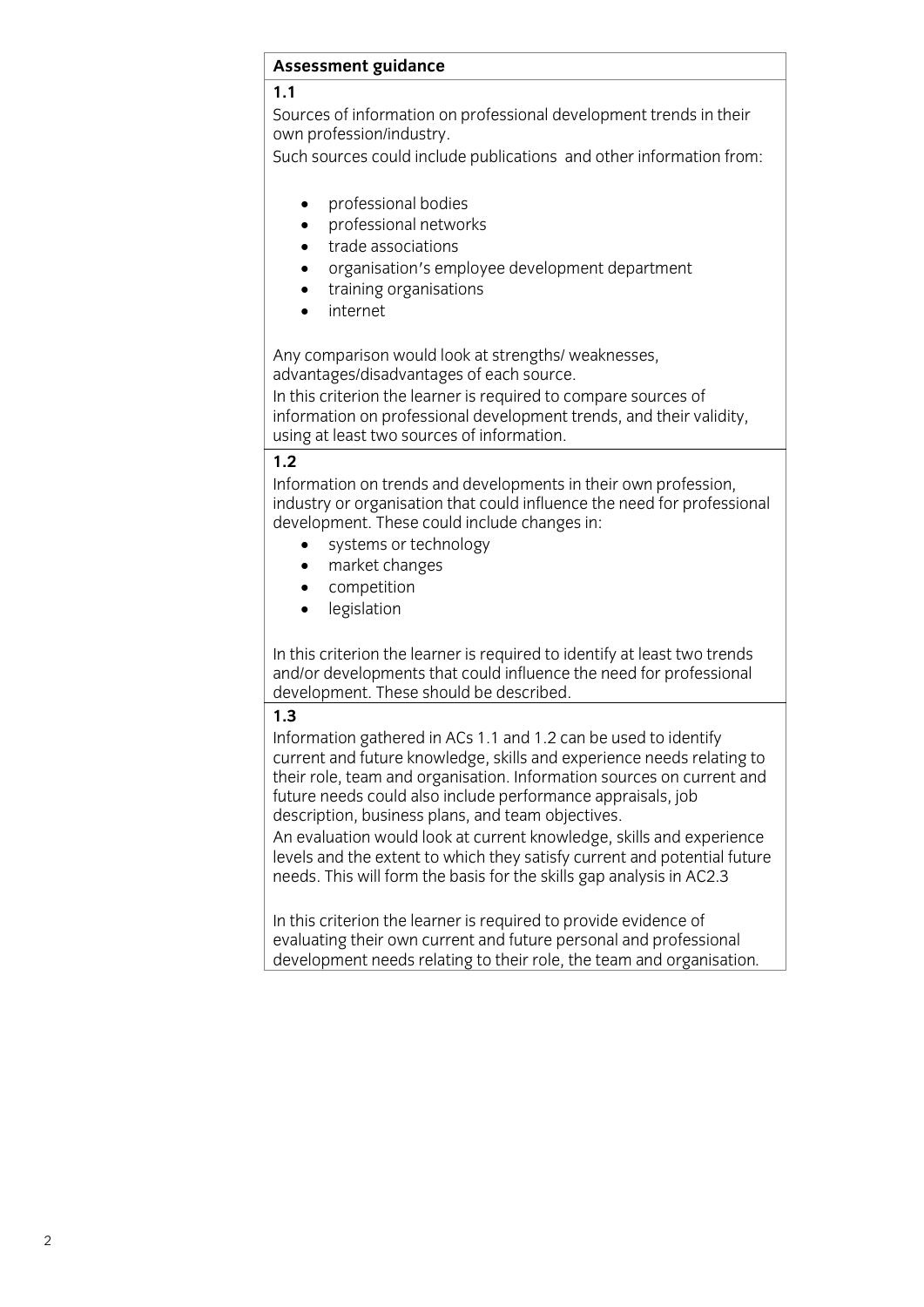## **Assessment guidance**

Sources of information on professional development trends in their own profession/industry.

Such sources could include publications and other information from: Such sources could include publications and other information from:

- professional bodies<br>• professional networ
- professional networks<br>• trade associations
- trade associations<br>• organisation's emr
- organisation's employee development department
	- training organisations
	- internet

Any comparison would look at strengths/ weaknesses, advantages/disadvantages of each source.

In this criterion the learner is required to compare sources of information on professional development trends, and their validity, using at least two sources of information.  $\frac{1}{\sqrt{2}}$ 

Information on trends and developments in their own profession, industry or organisation that could influence the need for professional development. These could include changes in:

- systems or technology<br>• market changes
	- market changes<br>• competition
	- competition<br>• legislation
	- legislation

In this criterion the learner is required to identify at least two trends and/or developments that could influence the need for professional development. These should be described. development. The development of  $\mathbf{d}$ 

Information gathered in ACs 1.1 and 1.2 can be used to identify current and future knowledge, skills and experience needs relating to their role, team and organisation. Information sources on current and future needs could also include performance appraisals, job description, business plans, and team objectives.

An evaluation would look at current knowledge, skills and experience levels and the extent to which they satisfy current and potential future needs. This will form the basis for the skills gap analysis in AC2.3  $\mathbf{C}$  in AC2.33 in AC2.33 in AC2.33 in AC2.33 in AC2.33 in AC2.33 in AC2.33 in AC2.33 in AC2.33 in AC2.33 in AC2.33 in AC2.33 in AC2.33 in AC2.33 in AC2.33 in AC2.33 in AC2.33 in AC2.33 in AC2.33 in AC2.33 in AC2.33 in

In this criterion the learner is required to provide evidence of evaluating their own current and future personal and professional development needs relating to their role, the team and organisation. development needs relating to their role, the team and organisation*.*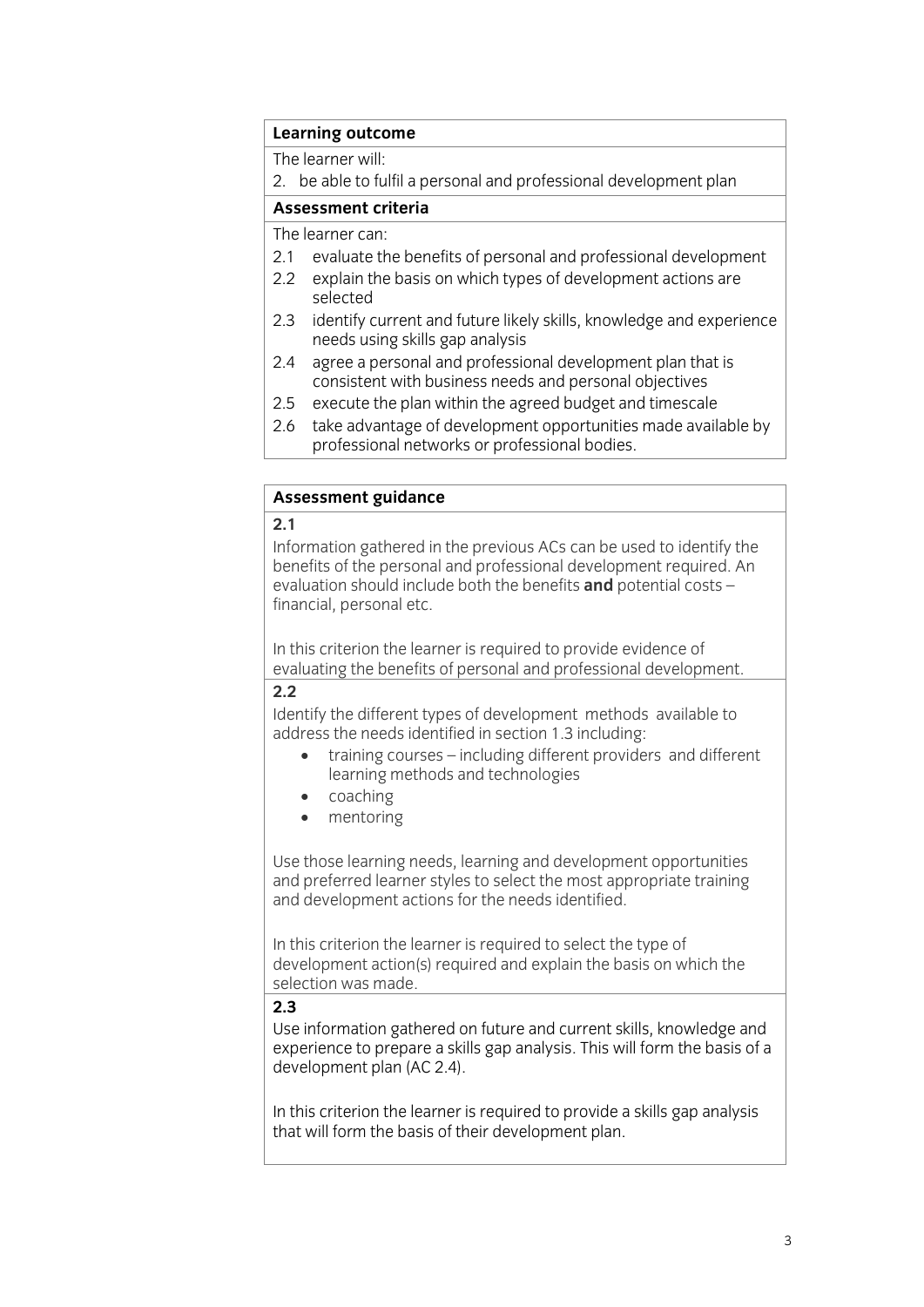### Learning outcome

The learner will:

2. be able to fulfil a personal and professional development plan

### Assessment criteria

The learner can:

- 2.1 evaluate the benefits of personal and professional development
- 2.2 explain the basis on which types of development actions are selected
- 2.3 identify current and future likely skills, knowledge and experience needs using skills gap analysis
- agree a personal and professional development plan that is  $2.4$ consistent with business needs and personal objectives
- $2.5$ execute the plan within the agreed budget and timescale
- 2.6 take advantage of development opportunities made available by professional networks or professional bodies. professional networks or professional bodies. The contract of the contract of the contract of the contract of the contract of the contract of the contract of the contract of the contract of the contract of the contract of

# **Assessment guidance**

Information gathered in the previous ACs can be used to identify the benefits of the personal and professional development required. An evaluation should include both the benefits and potential costs financial, personal etc. financial, personal etc.

evaluating the benefits of nersonal and professional developre evaluation the benefits of personal and personal development. In the personal development.<br>20

Identify the different types of development methods available to address the needs identified in section 1.3 including:

- training courses including different providers and different learning methods and technologies
	- learning methods and technologies coaching
	- mentoring

Use those learning needs, learning and development opportunities<br>and preferred learner styles to select the most appropriate training and development actions for the needs identified. and development actions for the needs identified.

In this criterion the learner is required to select the type of development action (s) required and explain the basis on which the selection was made.  $\frac{1}{2}$ 

Use information gathered on future and current skills, knowledge and experience to prepare a skills gap analysis. This will form the basis of a development plan (AC 2.4). development plan (AC 2.4).

In this criterion the learner is required to provide a skills gap analysis that will form the basis of their development plan. that will form the basis of their development plan.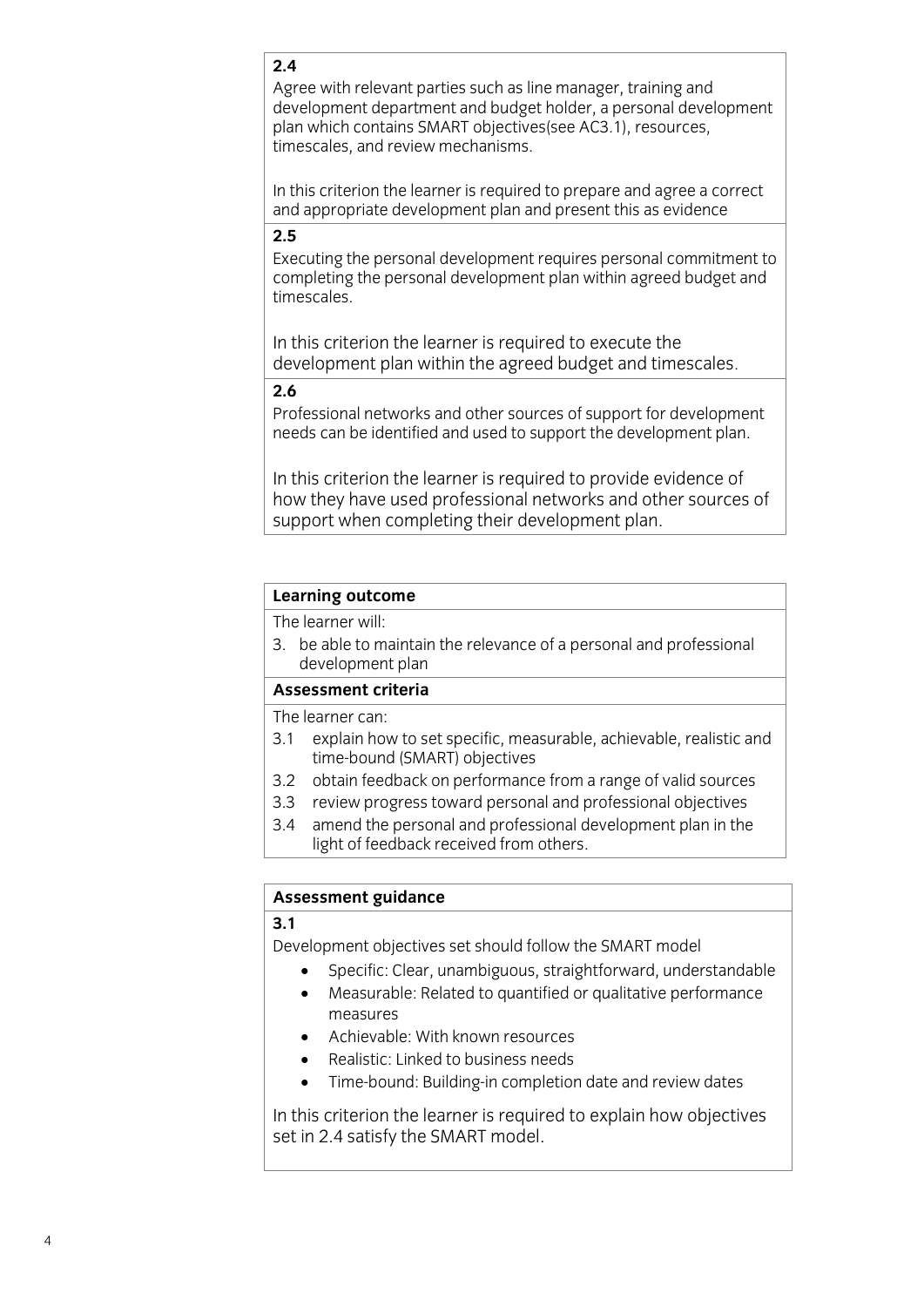### $2.4$

Agree with relevant parties such as line manager, training and development department and budget holder, a personal development plan which contains SMART objectives (see AC3.1), resources, timescales, and review mechanisms.

In this criterion the learner is required to prepare and agree a correct and appropriate development plan and present this as evidence and appropriate development plan and present this as evidence the present this as evidence the present this as<br>As e

Executing the personal development requires personal commitment to completing the personal development plan within agreed budget and timescales.

In this criterion the learner is required to execute the development plan within the agreed budget and timescales.  $\frac{1}{\sqrt{2}}$  , and timescales budget and timescales.

Professional networks and other sources of support for development needs can be identified and used to support the development plan. needs can be identified and used to support the development plan. The development plan of the development plan

In this criterion the learner is required to provide evidence of how they have used professional networks and other sources of support when completing their development plan.  $\frac{1}{2}$  become completing the completion of  $\frac{1}{2}$  development plan.

## **Learning outcome**<br>The learner will:

3. be able to maintain the relevance of a personal and professional development plan

### Assessment criteria

The learner can:

- 3.1 explain how to set specific, measurable, achievable, realistic and time-bound (SMART) objectives
- 3.2 obtain feedback on performance from a range of valid sources
- 3.3 review progress toward personal and professional objectives
- 3.4 amend the personal and professional development plan in the light of feedback received from others.  $\frac{1}{2}$

## **<u>Assessment</u>**

**3.1** Development objectives set should follow the SMART model

- Specific: Clear, unambiguous, straightforward, understandable<br>
A Maggurable: Pelated to quantified or qualitative performance
	- Measurable: Related to quantified or qualitative performance
	- Achievable: With known resources
	- Realistic: Linked to business needs
	- Time-bound: Building-in completion date and review dates

In this criterion the learner is required to explain how objectives set in 2.4 satisfy the SMART model.  $\frac{1}{2}$  satisfy the SMART model.